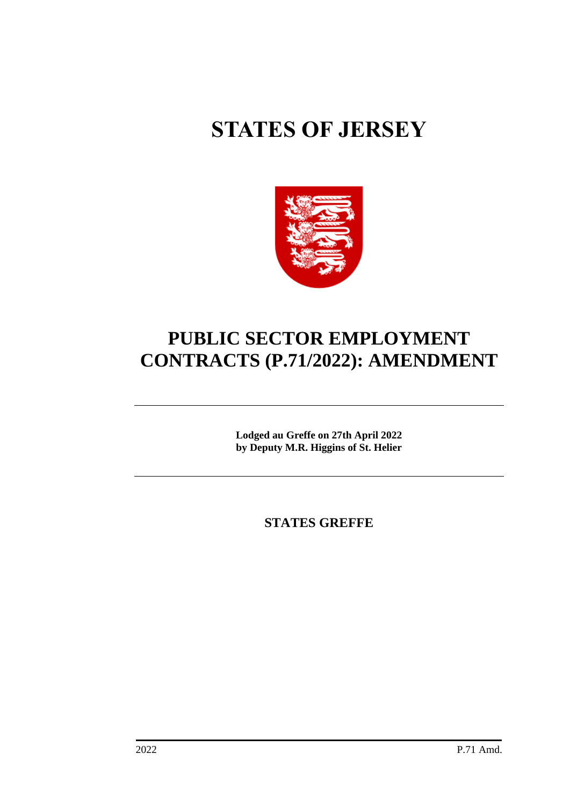# **STATES OF JERSEY**



# **PUBLIC SECTOR EMPLOYMENT CONTRACTS (P.71/2022): AMENDMENT**

**Lodged au Greffe on 27th April 2022 by Deputy M.R. Higgins of St. Helier**

**STATES GREFFE**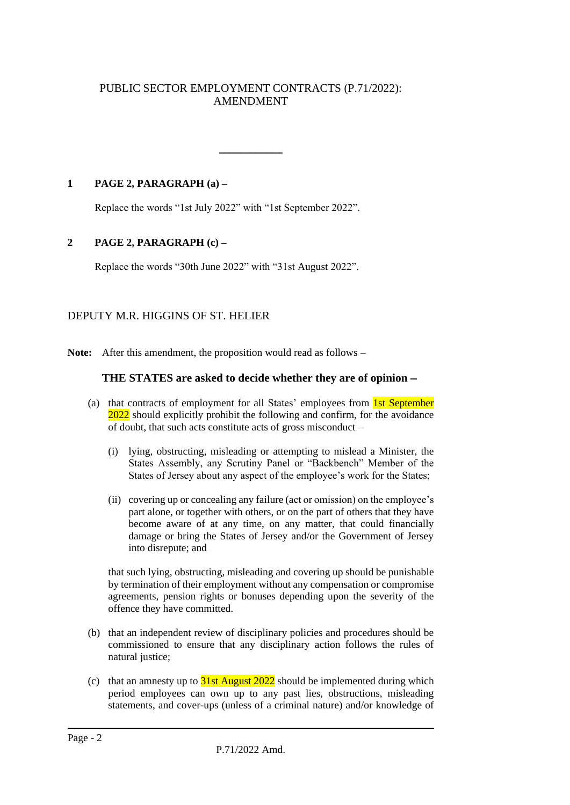# PUBLIC SECTOR EMPLOYMENT CONTRACTS (P.71/2022): AMENDMENT

 $\overline{\phantom{a}}$ 

**1 PAGE 2, PARAGRAPH (a) –**

Replace the words "1st July 2022" with "1st September 2022".

### **2 PAGE 2, PARAGRAPH (c) –**

Replace the words "30th June 2022" with "31st August 2022".

# DEPUTY M.R. HIGGINS OF ST. HELIER

**Note:** After this amendment, the proposition would read as follows –

### **THE STATES are asked to decide whether they are of opinion** −

- (a) that contracts of employment for all States' employees from 1st September 2022 should explicitly prohibit the following and confirm, for the avoidance of doubt, that such acts constitute acts of gross misconduct –
	- (i) lying, obstructing, misleading or attempting to mislead a Minister, the States Assembly, any Scrutiny Panel or "Backbench" Member of the States of Jersey about any aspect of the employee's work for the States;
	- (ii) covering up or concealing any failure (act or omission) on the employee's part alone, or together with others, or on the part of others that they have become aware of at any time, on any matter, that could financially damage or bring the States of Jersey and/or the Government of Jersey into disrepute; and

that such lying, obstructing, misleading and covering up should be punishable by termination of their employment without any compensation or compromise agreements, pension rights or bonuses depending upon the severity of the offence they have committed.

- (b) that an independent review of disciplinary policies and procedures should be commissioned to ensure that any disciplinary action follows the rules of natural justice;
- (c) that an amnesty up to  $\frac{31st}{\text{August 2022}}$  should be implemented during which period employees can own up to any past lies, obstructions, misleading statements, and cover-ups (unless of a criminal nature) and/or knowledge of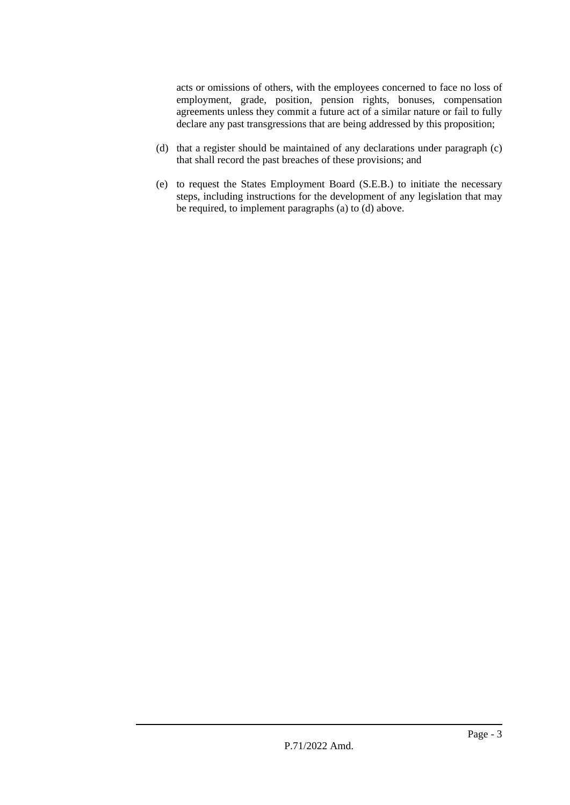acts or omissions of others, with the employees concerned to face no loss of employment, grade, position, pension rights, bonuses, compensation agreements unless they commit a future act of a similar nature or fail to fully declare any past transgressions that are being addressed by this proposition;

- (d) that a register should be maintained of any declarations under paragraph (c) that shall record the past breaches of these provisions; and
- (e) to request the States Employment Board (S.E.B.) to initiate the necessary steps, including instructions for the development of any legislation that may be required, to implement paragraphs (a) to (d) above.